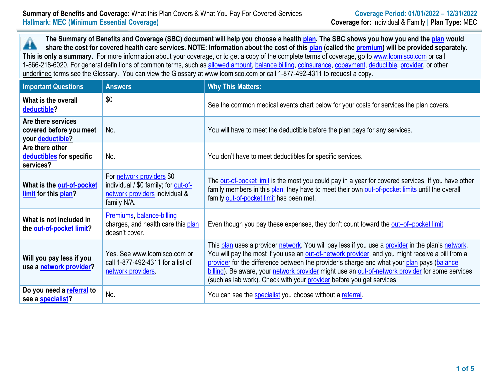**The Summary of Benefits and Coverage (SBC) document will help you choose a health [plan.](https://www.healthcare.gov/sbc-glossary/#plan) The SBC shows you how you and the [plan](https://www.healthcare.gov/sbc-glossary/#plan) would**  Â **share the cost for covered health care services. NOTE: Information about the cost of this [plan](https://www.healthcare.gov/sbc-glossary/#plan) (called the [premium\)](https://www.healthcare.gov/sbc-glossary/#premium) will be provided separately. This is only a summary.** For more information about your coverage, or to get a copy of the complete terms of coverage, go to [www.loomisco.com](http://www.loomisco.com/) or call 1-866-218-6020. For general definitions of common terms, such as [allowed amount,](https://www.healthcare.gov/sbc-glossary/#allowed-amount) [balance billing,](https://www.healthcare.gov/sbc-glossary/#balance-billing) [coinsurance,](https://www.healthcare.gov/sbc-glossary/#coinsurance) [copayment,](https://www.healthcare.gov/sbc-glossary/#copayment) [deductible,](https://www.healthcare.gov/sbc-glossary/#deductible) [provider,](https://www.healthcare.gov/sbc-glossary/#provider) or other underlined terms see the Glossary. You can view the Glossary at www.loomisco.com or call 1-877-492-4311 to request a copy.

| <b>Important Questions</b>                                        | <b>Answers</b>                                                                                                     | <b>Why This Matters:</b>                                                                                                                                                                                                                                                                                                                                                                                                                                                         |
|-------------------------------------------------------------------|--------------------------------------------------------------------------------------------------------------------|----------------------------------------------------------------------------------------------------------------------------------------------------------------------------------------------------------------------------------------------------------------------------------------------------------------------------------------------------------------------------------------------------------------------------------------------------------------------------------|
| What is the overall<br>deductible?                                | \$0                                                                                                                | See the common medical events chart below for your costs for services the plan covers.                                                                                                                                                                                                                                                                                                                                                                                           |
| Are there services<br>covered before you meet<br>your deductible? | No.                                                                                                                | You will have to meet the deductible before the plan pays for any services.                                                                                                                                                                                                                                                                                                                                                                                                      |
| Are there other<br>deductibles for specific<br>services?          | No.                                                                                                                | You don't have to meet deductibles for specific services.                                                                                                                                                                                                                                                                                                                                                                                                                        |
| What is the out-of-pocket<br>limit for this plan?                 | For network providers \$0<br>individual / \$0 family; for out-of-<br>network providers individual &<br>family N/A. | The out-of-pocket limit is the most you could pay in a year for covered services. If you have other<br>family members in this plan, they have to meet their own out-of-pocket limits until the overall<br>family out-of-pocket limit has been met.                                                                                                                                                                                                                               |
| What is not included in<br>the out-of-pocket limit?               | Premiums, balance-billing<br>charges, and health care this plan<br>doesn't cover.                                  | Even though you pay these expenses, they don't count toward the out-of-pocket limit.                                                                                                                                                                                                                                                                                                                                                                                             |
| Will you pay less if you<br>use a network provider?               | Yes. See www.loomisco.com or<br>call 1-877-492-4311 for a list of<br>network providers.                            | This plan uses a provider network. You will pay less if you use a provider in the plan's network.<br>You will pay the most if you use an out-of-network provider, and you might receive a bill from a<br>provider for the difference between the provider's charge and what your plan pays (balance<br>billing). Be aware, your network provider might use an out-of-network provider for some services<br>(such as lab work). Check with your provider before you get services. |
| Do you need a referral to<br>see a specialist?                    | No.                                                                                                                | You can see the specialist you choose without a referral.                                                                                                                                                                                                                                                                                                                                                                                                                        |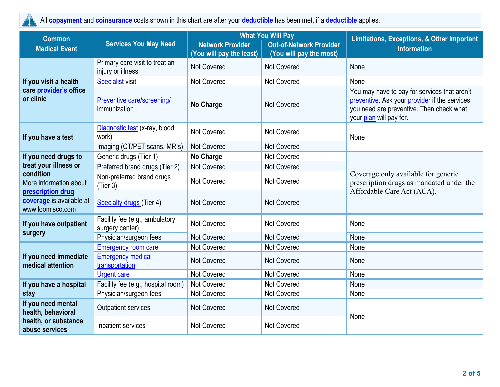All **[copayment](https://www.healthcare.gov/sbc-glossary/#copayment)** and **[coinsurance](https://www.healthcare.gov/sbc-glossary/#coinsurance)** costs shown in this chart are after your **[deductible](https://www.healthcare.gov/sbc-glossary/#deductible)** has been met, if a **[deductible](https://www.healthcare.gov/sbc-glossary/#deductible)** applies.

| <b>Common</b>                                                     | <b>Services You May Need</b>                        | <b>What You Will Pay</b> |                                | Limitations, Exceptions, & Other Important                                                                                                                           |  |
|-------------------------------------------------------------------|-----------------------------------------------------|--------------------------|--------------------------------|----------------------------------------------------------------------------------------------------------------------------------------------------------------------|--|
| <b>Medical Event</b>                                              |                                                     | <b>Network Provider</b>  | <b>Out-of-Network Provider</b> | <b>Information</b>                                                                                                                                                   |  |
|                                                                   |                                                     | (You will pay the least) | (You will pay the most)        |                                                                                                                                                                      |  |
|                                                                   | Primary care visit to treat an<br>injury or illness | <b>Not Covered</b>       | <b>Not Covered</b>             | None                                                                                                                                                                 |  |
| If you visit a health                                             | <b>Specialist visit</b>                             | <b>Not Covered</b>       | Not Covered                    | None                                                                                                                                                                 |  |
| care provider's office<br>or clinic                               | Preventive care/screening/<br>immunization          | <b>No Charge</b>         | <b>Not Covered</b>             | You may have to pay for services that aren't<br>preventive. Ask your provider if the services<br>you need are preventive. Then check what<br>your plan will pay for. |  |
| If you have a test                                                | Diagnostic test (x-ray, blood<br>work)              | <b>Not Covered</b>       | <b>Not Covered</b>             | None                                                                                                                                                                 |  |
|                                                                   | Imaging (CT/PET scans, MRIs)                        | Not Covered              | <b>Not Covered</b>             |                                                                                                                                                                      |  |
| If you need drugs to                                              | Generic drugs (Tier 1)                              | No Charge                | Not Covered                    |                                                                                                                                                                      |  |
| treat your illness or                                             | Preferred brand drugs (Tier 2)                      | Not Covered              | Not Covered                    |                                                                                                                                                                      |  |
| condition<br>More information about                               | Non-preferred brand drugs<br>(Tier 3)               | <b>Not Covered</b>       | Not Covered                    | Coverage only available for generic<br>prescription drugs as mandated under the                                                                                      |  |
| prescription drug<br>coverage is available at<br>www.loomisco.com | Specialty drugs (Tier 4)                            | <b>Not Covered</b>       | <b>Not Covered</b>             | Affordable Care Act (ACA).                                                                                                                                           |  |
| If you have outpatient                                            | Facility fee (e.g., ambulatory<br>surgery center)   | <b>Not Covered</b>       | Not Covered                    | None                                                                                                                                                                 |  |
| surgery                                                           | Physician/surgeon fees                              | <b>Not Covered</b>       | Not Covered                    | None                                                                                                                                                                 |  |
| If you need immediate<br>medical attention                        | <b>Emergency room care</b>                          | <b>Not Covered</b>       | Not Covered                    | None                                                                                                                                                                 |  |
|                                                                   | <b>Emergency medical</b><br>transportation          | <b>Not Covered</b>       | <b>Not Covered</b>             | None                                                                                                                                                                 |  |
|                                                                   | <b>Urgent care</b>                                  | Not Covered              | Not Covered                    | None                                                                                                                                                                 |  |
| If you have a hospital<br>stay                                    | Facility fee (e.g., hospital room)                  | Not Covered              | Not Covered                    | None                                                                                                                                                                 |  |
|                                                                   | Physician/surgeon fees                              | Not Covered              | Not Covered                    | None                                                                                                                                                                 |  |
| If you need mental<br>health, behavioral                          | <b>Outpatient services</b>                          | <b>Not Covered</b>       | Not Covered                    | None                                                                                                                                                                 |  |
| health, or substance<br>abuse services                            | Inpatient services                                  | <b>Not Covered</b>       | Not Covered                    |                                                                                                                                                                      |  |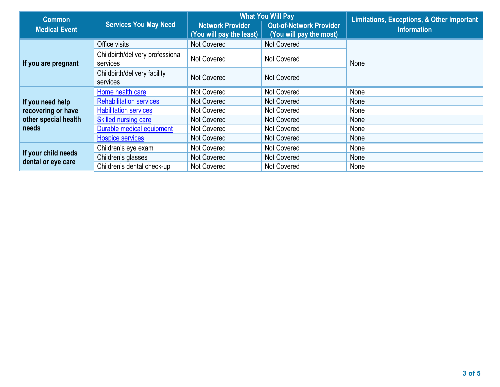| <b>Common</b>                                                           | <b>Services You May Need</b>                 | <b>What You Will Pay</b>                            |                                                           | Limitations, Exceptions, & Other Important |  |
|-------------------------------------------------------------------------|----------------------------------------------|-----------------------------------------------------|-----------------------------------------------------------|--------------------------------------------|--|
| <b>Medical Event</b>                                                    |                                              | <b>Network Provider</b><br>(You will pay the least) | <b>Out-of-Network Provider</b><br>(You will pay the most) | <b>Information</b>                         |  |
| If you are pregnant                                                     | Office visits                                | <b>Not Covered</b>                                  | <b>Not Covered</b>                                        |                                            |  |
|                                                                         | Childbirth/delivery professional<br>services | Not Covered                                         | Not Covered                                               | None                                       |  |
|                                                                         | Childbirth/delivery facility<br>services     | Not Covered                                         | Not Covered                                               |                                            |  |
| If you need help<br>recovering or have<br>other special health<br>needs | Home health care                             | Not Covered                                         | Not Covered                                               | None                                       |  |
|                                                                         | <b>Rehabilitation services</b>               | Not Covered                                         | <b>Not Covered</b>                                        | None                                       |  |
|                                                                         | <b>Habilitation services</b>                 | <b>Not Covered</b>                                  | <b>Not Covered</b>                                        | None                                       |  |
|                                                                         | Skilled nursing care                         | Not Covered                                         | <b>Not Covered</b>                                        | None<br>None                               |  |
|                                                                         | Durable medical equipment                    | <b>Not Covered</b>                                  | <b>Not Covered</b>                                        |                                            |  |
|                                                                         | Hospice services                             | Not Covered                                         | Not Covered                                               | None                                       |  |
| If your child needs<br>dental or eye care                               | Children's eye exam                          | Not Covered                                         | <b>Not Covered</b>                                        | None                                       |  |
|                                                                         | Children's glasses                           | Not Covered                                         | Not Covered                                               | None                                       |  |
|                                                                         | Children's dental check-up                   | <b>Not Covered</b>                                  | <b>Not Covered</b>                                        | None                                       |  |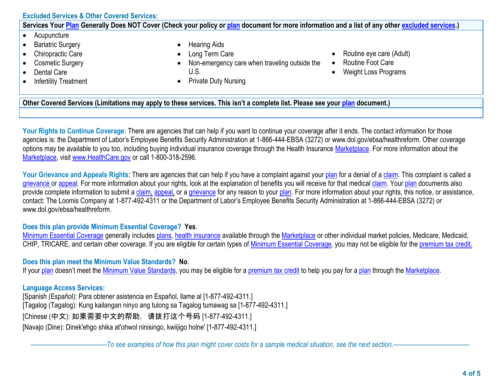## **Excluded Services & Other Covered Services:**

## **Services Your [Plan](https://www.healthcare.gov/sbc-glossary/#plan) Generally Does NOT Cover (Check your policy or [plan](https://www.healthcare.gov/sbc-glossary/#plan) document for more information and a list of any other [excluded services.](https://www.healthcare.gov/sbc-glossary/#excluded-services))**

- Acupuncture
- Bariatric Surgery
- Chiropractic Care
- Cosmetic Surgery
- Dental Care
- Infertility Treatment
- Hearing Aids
- Long Term Care
- Non-emergency care when traveling outside the U.S.
- Private Duty Nursing
- Routine eye care (Adult)
- Routine Foot Care
- Weight Loss Programs

**Other Covered Services (Limitations may apply to these services. This isn't a complete list. Please see your [plan](https://www.healthcare.gov/sbc-glossary/#plan) document.)** 

Your Rights to Continue Coverage: There are agencies that can help if you want to continue your coverage after it ends. The contact information for those agencies is: the Department of Labor's Employee Benefits Security Administration at 1-866-444-EBSA (3272) or www.dol.gov/ebsa/healthreform. Other coverage options may be available to you too, including buying individual insurance coverage through the Health Insurance [Marketplace.](https://www.healthcare.gov/sbc-glossary/#marketplace) For more information about the [Marketplace,](https://www.healthcare.gov/sbc-glossary/#marketplace) visit [www.HealthCare.gov](http://www.healthcare.gov/) or call 1-800-318-2596.

Your Grievance and Appeals Rights: There are agencies that can help if you have a complaint against your [plan](https://www.healthcare.gov/sbc-glossary/#plan) for a denial of a [claim.](https://www.healthcare.gov/sbc-glossary/#claim) This complaint is called a [grievance](https://www.healthcare.gov/sbc-glossary/#grievance) or [appeal.](https://www.healthcare.gov/sbc-glossary/#appeal) For more information about your rights, look at the explanation of benefits you will receive for that medical [claim.](https://www.healthcare.gov/sbc-glossary/#claim) Your [plan](https://www.healthcare.gov/sbc-glossary/#plan) documents also provide complete information to submit a [claim,](https://www.healthcare.gov/sbc-glossary/#claim) [appeal,](https://www.healthcare.gov/sbc-glossary/#appeal) or a [grievance](https://www.healthcare.gov/sbc-glossary/#grievance) for any reason to your [plan.](https://www.healthcare.gov/sbc-glossary/#plan) For more information about your rights, this notice, or assistance, contact: The Loomis Company at 1-877-492-4311 or the Department of Labor's Employee Benefits Security Administration at 1-866-444-EBSA (3272) or www.dol.gov/ebsa/healthreform.

## **Does this plan provide Minimum Essential Coverage? Yes**.

[Minimum Essential Coverage](https://www.healthcare.gov/sbc-glossary/#minimum-essential-coverage) generally includes [plans,](https://www.healthcare.gov/sbc-glossary/#plan) [health insurance](https://www.healthcare.gov/sbc-glossary/#health-insurance) available through the [Marketplace](https://www.healthcare.gov/sbc-glossary/#marketplace) or other individual market policies, Medicare, Medicaid, CHIP, TRICARE, and certain other coverage. If you are eligible for certain types of [Minimum Essential Coverage,](https://www.healthcare.gov/sbc-glossary/#minimum-essential-coverage) you may not be eligible for the [premium tax credit.](https://www.healthcare.gov/sbc-glossary/#premium-tax-credits)

**Does this plan meet the Minimum Value Standards? No**.

If your [plan](https://www.healthcare.gov/sbc-glossary/#plan) doesn't meet the [Minimum Value Standards,](https://www.healthcare.gov/sbc-glossary/#minimum-value-standard) you may be eligible for a [premium tax credit](https://www.healthcare.gov/sbc-glossary/#premium-tax-credits) to help you pay for a plan through the [Marketplace.](https://www.healthcare.gov/sbc-glossary/#marketplace)

## **Language Access Services:**

[Spanish (Español): Para obtener asistencia en Español, llame al [1-877-492-4311.]

[Tagalog (Tagalog): Kung kailangan ninyo ang tulong sa Tagalog tumawag sa [1-877-492-4311.]

[Chinese (中文): 如果需要中文的帮助, 请拨打这个号码 [1-877-492-4311.]

[Navajo (Dine): Dinek'ehgo shika at'ohwol ninisingo, kwiijigo holne' [1-877-492-4311.]

––––––––––––––––––––––*To see examples of how this plan might cover costs for a sample medical situation, see the next section.–––––––––––*–––––––––––